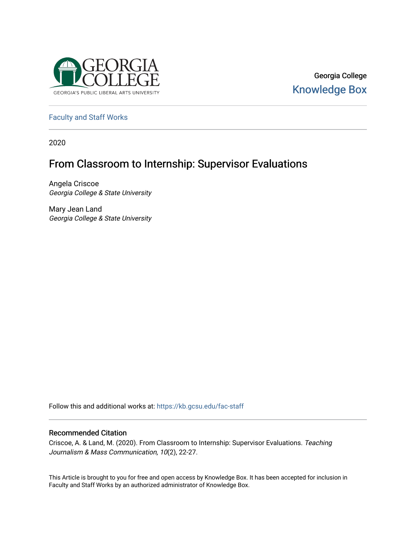

Georgia College [Knowledge Box](https://kb.gcsu.edu/) 

[Faculty and Staff Works](https://kb.gcsu.edu/fac-staff)

2020

# From Classroom to Internship: Supervisor Evaluations

Angela Criscoe Georgia College & State University

Mary Jean Land Georgia College & State University

Follow this and additional works at: [https://kb.gcsu.edu/fac-staff](https://kb.gcsu.edu/fac-staff?utm_source=kb.gcsu.edu%2Ffac-staff%2F91&utm_medium=PDF&utm_campaign=PDFCoverPages) 

# Recommended Citation

Criscoe, A. & Land, M. (2020). From Classroom to Internship: Supervisor Evaluations. Teaching Journalism & Mass Communication, 10(2), 22-27.

This Article is brought to you for free and open access by Knowledge Box. It has been accepted for inclusion in Faculty and Staff Works by an authorized administrator of Knowledge Box.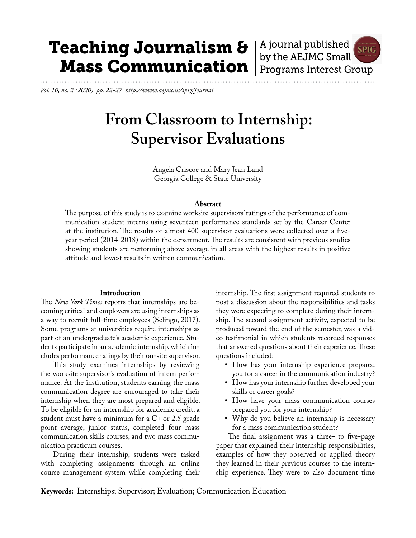# Teaching Journalism & Mass Communication

A journal published **SPIG** by the AEJMC Small Programs Interest Group

*Vol. 10, no. 2 (2020), pp. 22-27 http://www.aejmc.us/spig/journal*

# **From Classroom to Internship: Supervisor Evaluations**

Angela Criscoe and Mary Jean Land Georgia College & State University

#### **Abstract**

The purpose of this study is to examine worksite supervisors' ratings of the performance of communication student interns using seventeen performance standards set by the Career Center at the institution. The results of almost 400 supervisor evaluations were collected over a fiveyear period (2014-2018) within the department. The results are consistent with previous studies showing students are performing above average in all areas with the highest results in positive attitude and lowest results in written communication.

### **Introduction**

The *New York Times* reports that internships are becoming critical and employers are using internships as a way to recruit full-time employees (Selingo, 2017). Some programs at universities require internships as part of an undergraduate's academic experience. Students participate in an academic internship, which includes performance ratings by their on-site supervisor.

This study examines internships by reviewing the worksite supervisor's evaluation of intern performance. At the institution, students earning the mass communication degree are encouraged to take their internship when they are most prepared and eligible. To be eligible for an internship for academic credit, a student must have a minimum for a C+ or 2.5 grade point average, junior status, completed four mass communication skills courses, and two mass communication practicum courses.

During their internship, students were tasked with completing assignments through an online course management system while completing their internship. The first assignment required students to post a discussion about the responsibilities and tasks they were expecting to complete during their internship. The second assignment activity, expected to be produced toward the end of the semester, was a video testimonial in which students recorded responses that answered questions about their experience. These questions included:

- How has your internship experience prepared you for a career in the communication industry?
- How has your internship further developed your skills or career goals?
- How have your mass communication courses prepared you for your internship?
- Why do you believe an internship is necessary for a mass communication student?

The final assignment was a three- to five-page paper that explained their internship responsibilities, examples of how they observed or applied theory they learned in their previous courses to the internship experience. They were to also document time

**Keywords:** Internships; Supervisor; Evaluation; Communication Education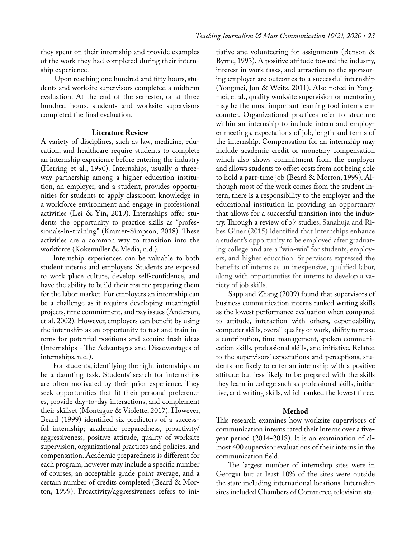they spent on their internship and provide examples of the work they had completed during their internship experience.

 Upon reaching one hundred and fifty hours, students and worksite supervisors completed a midterm evaluation. At the end of the semester, or at three hundred hours, students and worksite supervisors completed the final evaluation.

## **Literature Review**

A variety of disciplines, such as law, medicine, education, and healthcare require students to complete an internship experience before entering the industry (Herring et al., 1990). Internships, usually a threeway partnership among a higher education institution, an employer, and a student, provides opportunities for students to apply classroom knowledge in a workforce environment and engage in professional activities (Lei & Yin, 2019). Internships offer students the opportunity to practice skills as "professionals-in-training" (Kramer-Simpson, 2018). These activities are a common way to transition into the workforce (Kokemuller & Media, n.d.).

Internship experiences can be valuable to both student interns and employers. Students are exposed to work place culture, develop self-confidence, and have the ability to build their resume preparing them for the labor market. For employers an internship can be a challenge as it requires developing meaningful projects, time commitment, and pay issues (Anderson, et al. 2002). However, employers can benefit by using the internship as an opportunity to test and train interns for potential positions and acquire fresh ideas (Internships - The Advantages and Disadvantages of internships, n.d.).

For students, identifying the right internship can be a daunting task. Students' search for internships are often motivated by their prior experience. They seek opportunities that fit their personal preferences, provide day-to-day interactions, and complement their skillset (Montague & Violette, 2017). However, Beard (1999) identified six predictors of a successful internship; academic preparedness, proactivity/ aggressiveness, positive attitude, quality of worksite supervision, organizational practices and policies, and compensation. Academic preparedness is different for each program, however may include a specific number of courses, an acceptable grade point average, and a certain number of credits completed (Beard & Morton, 1999). Proactivity/aggressiveness refers to initiative and volunteering for assignments (Benson & Byrne, 1993). A positive attitude toward the industry, interest in work tasks, and attraction to the sponsoring employer are outcomes to a successful internship (Yongmei, Jun & Weitz, 2011). Also noted in Yongmei, et al., quality worksite supervision or mentoring may be the most important learning tool interns encounter. Organizational practices refer to structure within an internship to include intern and employer meetings, expectations of job, length and terms of the internship. Compensation for an internship may include academic credit or monetary compensation which also shows commitment from the employer and allows students to offset costs from not being able to hold a part-time job (Beard & Morton, 1999). Although most of the work comes from the student intern, there is a responsibility to the employer and the educational institution in providing an opportunity that allows for a successful transition into the industry. Through a review of 57 studies, Sanahuja and Ribes Giner (2015) identified that internships enhance a student's opportunity to be employed after graduating college and are a "win-win" for students, employers, and higher education. Supervisors expressed the benefits of interns as an inexpensive, qualified labor, along with opportunities for interns to develop a variety of job skills.

Sapp and Zhang (2009) found that supervisors of business communication interns ranked writing skills as the lowest performance evaluation when compared to attitude, interaction with others, dependability, computer skills, overall quality of work, ability to make a contribution, time management, spoken communication skills, professional skills, and initiative. Related to the supervisors' expectations and perceptions, students are likely to enter an internship with a positive attitude but less likely to be prepared with the skills they learn in college such as professional skills, initiative, and writing skills, which ranked the lowest three.

# **Method**

This research examines how worksite supervisors of communication interns rated their interns over a fiveyear period (2014-2018). It is an examination of almost 400 supervisor evaluations of their interns in the communication field.

The largest number of internship sites were in Georgia but at least 10% of the sites were outside the state including international locations. Internship sites included Chambers of Commerce, television sta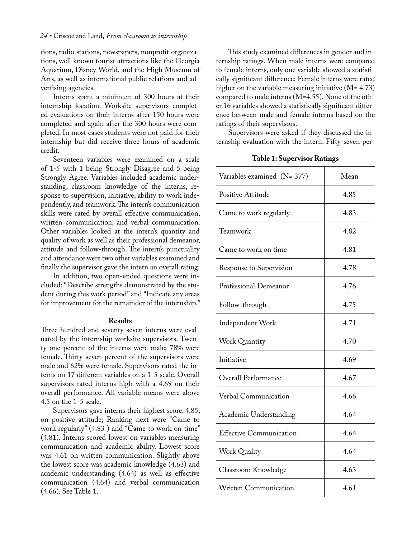tions, radio stations, newspapers, nonprofit organizations, well known tourist attractions like the Georgia Aquarium, Disney World, and the High Museum of Arts, as well as international public relations and advertising agencies.

Interns spent a minimum of 300 hours at their internship location. Worksite supervisors completed evaluations on their interns after 150 hours were completed and again after the 300 hours were completed. In most cases students were not paid for their internship but did receive three hours of academic credit.

Seventeen variables were examined on a scale of 1-5 with 1 being Strongly Disagree and 5 being Strongly Agree. Variables included academic understanding, classroom knowledge of the interns, response to supervision, initiative, ability to work independently, and teamwork. The intern's communication skills were rated by overall effective communication, written communication, and verbal communication. Other variables looked at the intern's quantity and quality of work as well as their professional demeanor, attitude and follow-through. The intern's punctuality and attendance were two other variables examined and finally the supervisor gave the intern an overall rating.

In addition, two open-ended questions were included: "Describe strengths demonstrated by the student during this work period" and "Indicate any areas for improvement for the remainder of the internship."

#### **Results**

Three hundred and seventy-seven interns were evaluated by the internship worksite supervisors. Twenty-one percent of the interns were male; 78% were female. Thirty-seven percent of the supervisors were male and 62% were female. Supervisors rated the interns on 17 different variables on a 1-5 scale. Overall supervisors rated interns high with a 4.69 on their overall performance. All variable means were above 4.5 on the 1-5 scale.

Supervisors gave interns their highest score, 4.85, on positive attitude; Ranking next were "Came to work regularly" (4.83 ) and "Came to work on time" (4.81). Interns scored lowest on variables measuring communication and academic ability. Lowest score was 4.61 on written communication. Slightly above the lowest score was academic knowledge (4.63) and academic understanding (4.64) as well as effective communication (4.64) and verbal communication (4.66). See Table 1.

This study examined differences in gender and internship ratings. When male interns were compared to female interns, only one variable showed a statistically significant difference: Female interns were rated higher on the variable measuring initiative  $(M= 4.73)$ compared to male interns (M=4.55). None of the other 16 variables showed a statistically significant difference between male and female interns based on the ratings of their supervisors.

Supervisors were asked if they discussed the internship evaluation with the intern. Fifty-seven per-

| Variables examined (N= 377)    | Mean |
|--------------------------------|------|
| Positive Attitude              | 4.85 |
| Came to work regularly         | 4.83 |
| Teamwork                       | 4.82 |
| Came to work on time           | 4.81 |
| Response to Supervision        | 4.78 |
| Professional Demeanor          | 4.76 |
| Follow-through                 | 4.75 |
| Independent Work               | 4.71 |
| <b>Work Quantity</b>           | 4.70 |
| Initiative                     | 4.69 |
| <b>Overall Performance</b>     | 4.67 |
| Verbal Communication           | 4.66 |
| Academic Understanding         | 4.64 |
| <b>Effective Communication</b> | 4.64 |
| <b>Work Quality</b>            | 4.64 |
| Classroom Knowledge            | 4.63 |
| <b>Written Communication</b>   | 4.61 |

|  | <b>Table 1: Supervisor Ratings</b> |  |
|--|------------------------------------|--|
|--|------------------------------------|--|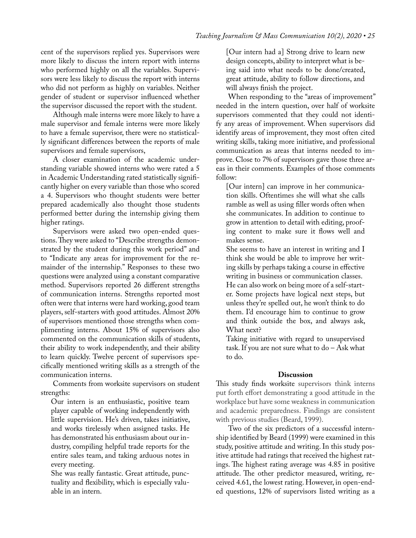cent of the supervisors replied yes. Supervisors were more likely to discuss the intern report with interns who performed highly on all the variables. Supervisors were less likely to discuss the report with interns who did not perform as highly on variables. Neither gender of student or supervisor influenced whether the supervisor discussed the report with the student.

Although male interns were more likely to have a male supervisor and female interns were more likely to have a female supervisor, there were no statistically significant differences between the reports of male supervisors and female supervisors,

A closer examination of the academic understanding variable showed interns who were rated a 5 in Academic Understanding rated statistically significantly higher on every variable than those who scored a 4. Supervisors who thought students were better prepared academically also thought those students performed better during the internship giving them higher ratings.

Supervisors were asked two open-ended questions. They were asked to "Describe strengths demonstrated by the student during this work period" and to "Indicate any areas for improvement for the remainder of the internship." Responses to these two questions were analyzed using a constant comparative method. Supervisors reported 26 different strengths of communication interns. Strengths reported most often were that interns were hard working, good team players, self-starters with good attitudes. Almost 20% of supervisors mentioned those strengths when complimenting interns. About 15% of supervisors also commented on the communication skills of students, their ability to work independently, and their ability to learn quickly. Twelve percent of supervisors specifically mentioned writing skills as a strength of the communication interns.

Comments from worksite supervisors on student strengths:

Our intern is an enthusiastic, positive team player capable of working independently with little supervision. He's driven, takes initiative, and works tirelessly when assigned tasks. He has demonstrated his enthusiasm about our industry, compiling helpful trade reports for the entire sales team, and taking arduous notes in every meeting.

She was really fantastic. Great attitude, punctuality and flexibility, which is especially valuable in an intern.

[Our intern had a] Strong drive to learn new design concepts, ability to interpret what is being said into what needs to be done/created, great attitude, ability to follow directions, and will always finish the project.

When responding to the "areas of improvement" needed in the intern question, over half of worksite supervisors commented that they could not identify any areas of improvement. When supervisors did identify areas of improvement, they most often cited writing skills, taking more initiative, and professional communication as areas that interns needed to improve. Close to 7% of supervisors gave those three areas in their comments. Examples of those comments follow:

[Our intern] can improve in her communication skills. Oftentimes she will what she calls ramble as well as using filler words often when she communicates. In addition to continue to grow in attention to detail with editing, proofing content to make sure it flows well and makes sense.

She seems to have an interest in writing and I think she would be able to improve her writing skills by perhaps taking a course in effective writing in business or communication classes.

He can also work on being more of a self-starter. Some projects have logical next steps, but unless they're spelled out, he won't think to do them. I'd encourage him to continue to grow and think outside the box, and always ask, What next?

Taking initiative with regard to unsupervised task. If you are not sure what to do – Ask what to do.

### **Discussion**

This study finds worksite supervisors think interns put forth effort demonstrating a good attitude in the workplace but have some weakness in communication and academic preparedness. Findings are consistent with previous studies (Beard, 1999).

Two of the six predictors of a successful internship identified by Beard (1999) were examined in this study, positive attitude and writing. In this study positive attitude had ratings that received the highest ratings. The highest rating average was 4.85 in positive attitude. The other predictor measured, writing, received 4.61, the lowest rating. However, in open-ended questions, 12% of supervisors listed writing as a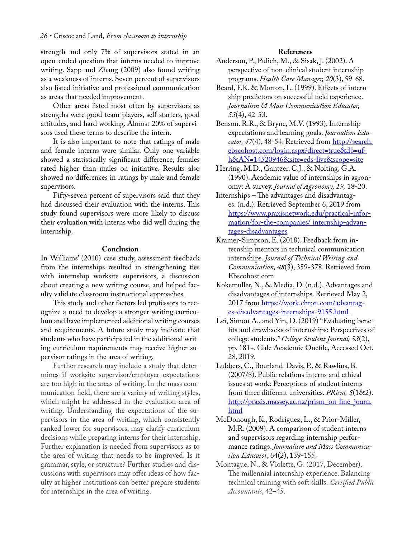strength and only 7% of supervisors stated in an open-ended question that interns needed to improve writing. Sapp and Zhang (2009) also found writing as a weakness of interns. Seven percent of supervisors also listed initiative and professional communication as areas that needed improvement.

Other areas listed most often by supervisors as strengths were good team players, self starters, good attitudes, and hard working. Almost 20% of supervisors used these terms to describe the intern.

It is also important to note that ratings of male and female interns were similar. Only one variable showed a statistically significant difference, females rated higher than males on initiative. Results also showed no differences in ratings by male and female supervisors.

Fifty-seven percent of supervisors said that they had discussed their evaluation with the interns. This study found supervisors were more likely to discuss their evaluation with interns who did well during the internship.

#### **Conclusion**

In Williams' (2010) case study, assessment feedback from the internships resulted in strengthening ties with internship worksite supervisors, a discussion about creating a new writing course, and helped faculty validate classroom instructional approaches.

This study and other factors led professors to recognize a need to develop a stronger writing curriculum and have implemented additional writing courses and requirements. A future study may indicate that students who have participated in the additional writing curriculum requirements may receive higher supervisor ratings in the area of writing.

Further research may include a study that determines if worksite supervisor/employer expectations are too high in the areas of writing. In the mass communication field, there are a variety of writing styles, which might be addressed in the evaluation area of writing. Understanding the expectations of the supervisors in the area of writing, which consistently ranked lower for supervisors, may clarify curriculum decisions while preparing interns for their internship. Further explanation is needed from supervisors as to the area of writing that needs to be improved. Is it grammar, style, or structure? Further studies and discussions with supervisors may offer ideas of how faculty at higher institutions can better prepare students for internships in the area of writing.

#### **References**

Anderson, P., Pulich, M., & Sisak, J. (2002). A perspective of non-clinical student internship programs. *Health Care Manager, 20*(3), 59-68.

- Beard, F.K. & Morton, L. (1999). Effects of internship predictors on successful field experience. *Journalism & Mass Communication Educator, 53*(4), 42-53.
- Benson. R.R., & Bryne, M.V. (1993). Internship expectations and learning goals. *Journalism Edu*cator, 47(4), 48-54. Retrieved from [http://search.](http://search.ebscohost.com/login.aspx?direct=true&db=ufh&AN=14520946&site=eds-live&scope=site) [ebscohost.com/login.aspx?direct=true&db=uf](http://search.ebscohost.com/login.aspx?direct=true&db=ufh&AN=14520946&site=eds-live&scope=site)[h&AN=14520946&site=eds-live&scope=site](http://search.ebscohost.com/login.aspx?direct=true&db=ufh&AN=14520946&site=eds-live&scope=site)
- Herring, M.D., Gantzer, C.J., & Nolting, G.A. (1990). Academic value of internships in agronomy: A survey. *Journal of Agronomy, 19,* 18-20.
- Internships The advantages and disadvantages. (n.d.). Retrieved September 6, 2019 from [https://www.praxisnetwork,edu/practical-infor](https://www.praxisnetwork,edu/practical-information/for-the-companies/ internship-advantages-disadva)[mation/for-the-companies/ internship-advan](https://www.praxisnetwork,edu/practical-information/for-the-companies/ internship-advantages-disadva)[tages-disadvantages](https://www.praxisnetwork,edu/practical-information/for-the-companies/ internship-advantages-disadva)
- Kramer-Simpson, E. (2018). Feedback from internship mentors in technical communication internships. *Journal of Technical Writing and Communication, 48*(3), 359-378. Retrieved from Ebscohost.com
- Kokemuller, N., & Media, D. (n.d.). Advantages and disadvantages of internships. Retrieved May 2, 2017 from [https://work.chron.com/advantag](https://work.chron.com/advantages-disadvan- tages-internships-9155.html )[es-disadvantages-internships-9155.html](https://work.chron.com/advantages-disadvan- tages-internships-9155.html )
- Lei, Simon A., and Yin, D. (2019) "Evaluating benefits and drawbacks of internships: Perspectives of college students." *College Student Journal, 53*(2), pp. 181+. Gale Academic Onefile, Accessed Oct. 28, 2019.
- Lubbers, C., Bourland-Davis, P., & Rawlins, B. (2007/8). Public relations interns and ethical issues at work: Perceptions of student interns from three different universities. *PRism, 5*(1&2). [http://praxis.massey.ac.nz/prism\\_on-line\\_journ.](http://praxis.massey.ac.nz/prism_on-line_journ.html) [html](http://praxis.massey.ac.nz/prism_on-line_journ.html)
- McDonough, K., Rodriguez, L., & Prior-Miller, M.R. (2009). A comparison of student interns and supervisors regarding internship performance ratings. *Journalism and Mass Communication Educator*, 64(2), 139-155.
- Montague, N., & Violette, G. (2017, December). The millennial internship experience. Balancing technical training with soft skills. *Certified Public Accountants*, 42–45.